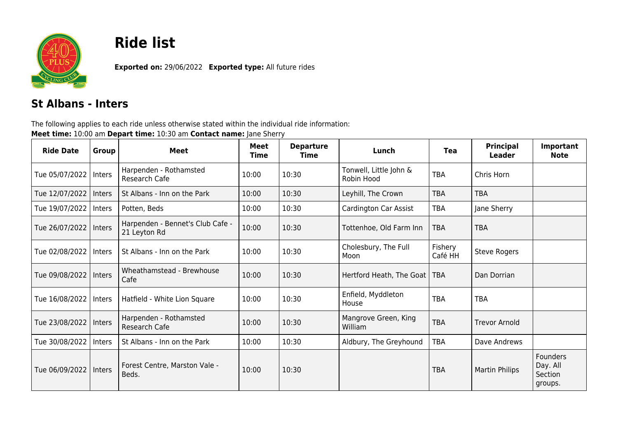

## **Ride list**

**Exported on:** 29/06/2022 **Exported type:** All future rides

## **St Albans - Inters**

The following applies to each ride unless otherwise stated within the individual ride information: **Meet time:** 10:00 am **Depart time:** 10:30 am **Contact name:** Jane Sherry

| <b>Ride Date</b>        | Group  | <b>Meet</b>                                      | <b>Meet</b><br>Time | <b>Departure</b><br>Time | Lunch                                | <b>Tea</b>         | Principal<br>Leader   | Important<br><b>Note</b>                          |
|-------------------------|--------|--------------------------------------------------|---------------------|--------------------------|--------------------------------------|--------------------|-----------------------|---------------------------------------------------|
| Tue 05/07/2022   Inters |        | Harpenden - Rothamsted<br>Research Cafe          | 10:00               | 10:30                    | Tonwell, Little John &<br>Robin Hood | <b>TBA</b>         | Chris Horn            |                                                   |
| Tue 12/07/2022          | Inters | St Albans - Inn on the Park                      | 10:00               | 10:30                    | Leyhill, The Crown                   | <b>TBA</b>         | <b>TBA</b>            |                                                   |
| Tue 19/07/2022          | Inters | Potten, Beds                                     | 10:00               | 10:30                    | Cardington Car Assist                | <b>TBA</b>         | Jane Sherry           |                                                   |
| Tue 26/07/2022   Inters |        | Harpenden - Bennet's Club Cafe -<br>21 Leyton Rd | 10:00               | 10:30                    | Tottenhoe, Old Farm Inn              | <b>TBA</b>         | <b>TBA</b>            |                                                   |
| Tue 02/08/2022   Inters |        | St Albans - Inn on the Park                      | 10:00               | 10:30                    | Cholesbury, The Full<br>Moon         | Fishery<br>Café HH | <b>Steve Rogers</b>   |                                                   |
| Tue 09/08/2022   Inters |        | Wheathamstead - Brewhouse<br>Cafe                | 10:00               | 10:30                    | Hertford Heath, The Goat   TBA       |                    | Dan Dorrian           |                                                   |
| Tue 16/08/2022   Inters |        | Hatfield - White Lion Square                     | 10:00               | 10:30                    | Enfield, Myddleton<br>House          | <b>TBA</b>         | <b>TBA</b>            |                                                   |
| Tue 23/08/2022   Inters |        | Harpenden - Rothamsted<br>Research Cafe          | 10:00               | 10:30                    | Mangrove Green, King<br>William      | <b>TBA</b>         | <b>Trevor Arnold</b>  |                                                   |
| Tue 30/08/2022          | Inters | St Albans - Inn on the Park                      | 10:00               | 10:30                    | Aldbury, The Greyhound               | <b>TBA</b>         | Dave Andrews          |                                                   |
| Tue 06/09/2022   Inters |        | Forest Centre, Marston Vale -<br>Beds.           | 10:00               | 10:30                    |                                      | <b>TBA</b>         | <b>Martin Philips</b> | <b>Founders</b><br>Day. All<br>Section<br>groups. |